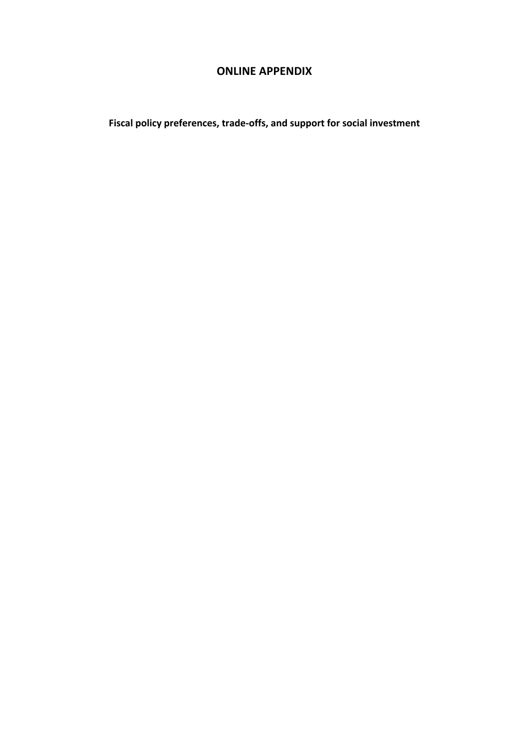### **ONLINE APPENDIX**

**Fiscal policy preferences, trade-offs, and support for social investment**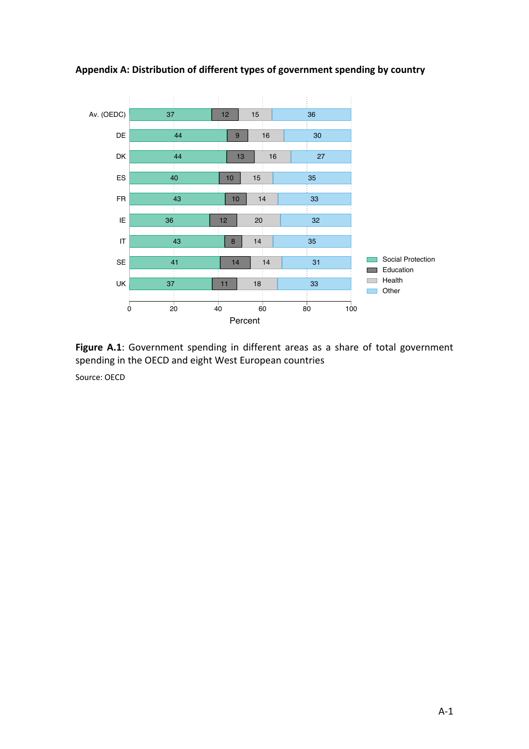

**Appendix A: Distribution of different types of government spending by country**



Source: OECD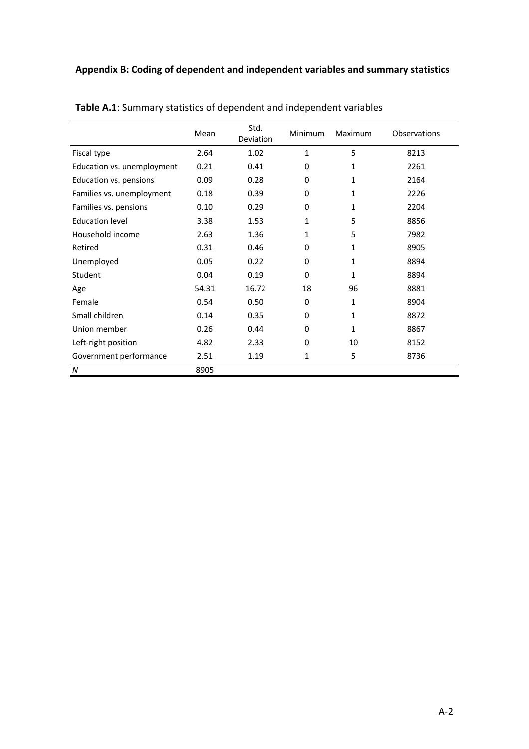|                            | Mean  | Std.<br>Deviation | <b>Minimum</b> | Maximum | <b>Observations</b> |
|----------------------------|-------|-------------------|----------------|---------|---------------------|
| Fiscal type                | 2.64  | 1.02              | 1              | 5       | 8213                |
| Education vs. unemployment | 0.21  | 0.41              | 0              | 1       | 2261                |
| Education vs. pensions     | 0.09  | 0.28              | 0              | 1       | 2164                |
| Families vs. unemployment  | 0.18  | 0.39              | 0              | 1       | 2226                |
| Families vs. pensions      | 0.10  | 0.29              | 0              | 1       | 2204                |
| <b>Education level</b>     | 3.38  | 1.53              | 1              | 5       | 8856                |
| Household income           | 2.63  | 1.36              | 1              | 5       | 7982                |
| Retired                    | 0.31  | 0.46              | 0              | 1       | 8905                |
| Unemployed                 | 0.05  | 0.22              | 0              | 1       | 8894                |
| Student                    | 0.04  | 0.19              | 0              | 1       | 8894                |
| Age                        | 54.31 | 16.72             | 18             | 96      | 8881                |
| Female                     | 0.54  | 0.50              | 0              | 1       | 8904                |
| Small children             | 0.14  | 0.35              | 0              | 1       | 8872                |
| Union member               | 0.26  | 0.44              | $\Omega$       | 1       | 8867                |
| Left-right position        | 4.82  | 2.33              | 0              | 10      | 8152                |
| Government performance     | 2.51  | 1.19              | 1              | 5       | 8736                |
| $\boldsymbol{N}$           | 8905  |                   |                |         |                     |

**Table A.1**: Summary statistics of dependent and independent variables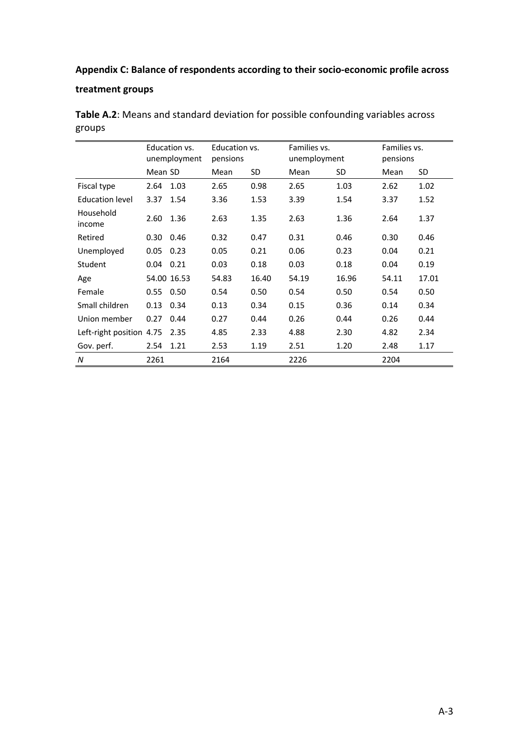### **Appendix C: Balance of respondents according to their socio-economic profile across**

#### **treatment groups**

|                          | Education vs.<br>unemployment |             | Education vs.<br>pensions |       | Families vs.<br>unemployment |       | Families vs.<br>pensions |       |
|--------------------------|-------------------------------|-------------|---------------------------|-------|------------------------------|-------|--------------------------|-------|
|                          | Mean SD                       |             | Mean                      | SD    | Mean                         | SD    | Mean                     | SD.   |
| Fiscal type              | 2.64                          | 1.03        | 2.65                      | 0.98  | 2.65                         | 1.03  | 2.62                     | 1.02  |
| <b>Education level</b>   | 3.37                          | 1.54        | 3.36                      | 1.53  | 3.39                         | 1.54  | 3.37                     | 1.52  |
| Household<br>income      | 2.60                          | 1.36        | 2.63                      | 1.35  | 2.63                         | 1.36  | 2.64                     | 1.37  |
| Retired                  | 0.30                          | 0.46        | 0.32                      | 0.47  | 0.31                         | 0.46  | 0.30                     | 0.46  |
| Unemployed               | 0.05                          | 0.23        | 0.05                      | 0.21  | 0.06                         | 0.23  | 0.04                     | 0.21  |
| Student                  | 0.04                          | 0.21        | 0.03                      | 0.18  | 0.03                         | 0.18  | 0.04                     | 0.19  |
| Age                      |                               | 54.00 16.53 | 54.83                     | 16.40 | 54.19                        | 16.96 | 54.11                    | 17.01 |
| Female                   | 0.55                          | 0.50        | 0.54                      | 0.50  | 0.54                         | 0.50  | 0.54                     | 0.50  |
| Small children           | 0.13                          | 0.34        | 0.13                      | 0.34  | 0.15                         | 0.36  | 0.14                     | 0.34  |
| Union member             | 0.27                          | 0.44        | 0.27                      | 0.44  | 0.26                         | 0.44  | 0.26                     | 0.44  |
| Left-right position 4.75 |                               | 2.35        | 4.85                      | 2.33  | 4.88                         | 2.30  | 4.82                     | 2.34  |
| Gov. perf.               | 2.54                          | 1.21        | 2.53                      | 1.19  | 2.51                         | 1.20  | 2.48                     | 1.17  |
| N                        | 2261                          |             | 2164                      |       | 2226                         |       | 2204                     |       |

**Table A.2**: Means and standard deviation for possible confounding variables across groups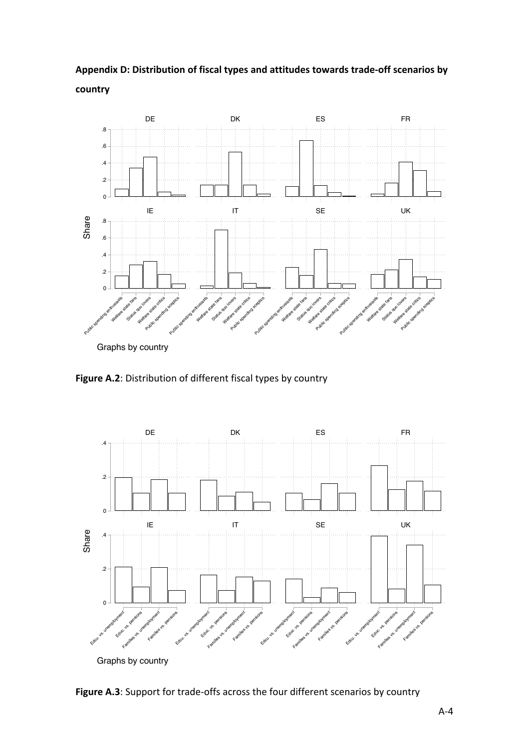



Graphs by country

**Figure A.2**: Distribution of different fiscal types by country



**Figure A.3**: Support for trade-offs across the four different scenarios by country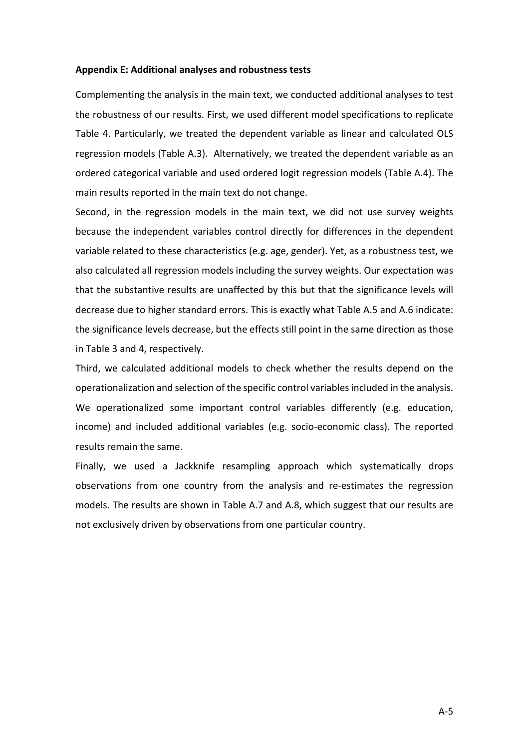#### **Appendix E: Additional analyses and robustness tests**

Complementing the analysis in the main text, we conducted additional analyses to test the robustness of our results. First, we used different model specifications to replicate Table 4. Particularly, we treated the dependent variable as linear and calculated OLS regression models (Table A.3). Alternatively, we treated the dependent variable as an ordered categorical variable and used ordered logit regression models (Table A.4). The main results reported in the main text do not change.

Second, in the regression models in the main text, we did not use survey weights because the independent variables control directly for differences in the dependent variable related to these characteristics (e.g. age, gender). Yet, as a robustness test, we also calculated all regression models including the survey weights. Our expectation was that the substantive results are unaffected by this but that the significance levels will decrease due to higher standard errors. This is exactly what Table A.5 and A.6 indicate: the significance levels decrease, but the effects still point in the same direction as those in Table 3 and 4, respectively.

Third, we calculated additional models to check whether the results depend on the operationalization and selection of the specific control variables included in the analysis. We operationalized some important control variables differently (e.g. education, income) and included additional variables (e.g. socio-economic class). The reported results remain the same.

Finally, we used a Jackknife resampling approach which systematically drops observations from one country from the analysis and re-estimates the regression models. The results are shown in Table A.7 and A.8, which suggest that our results are not exclusively driven by observations from one particular country.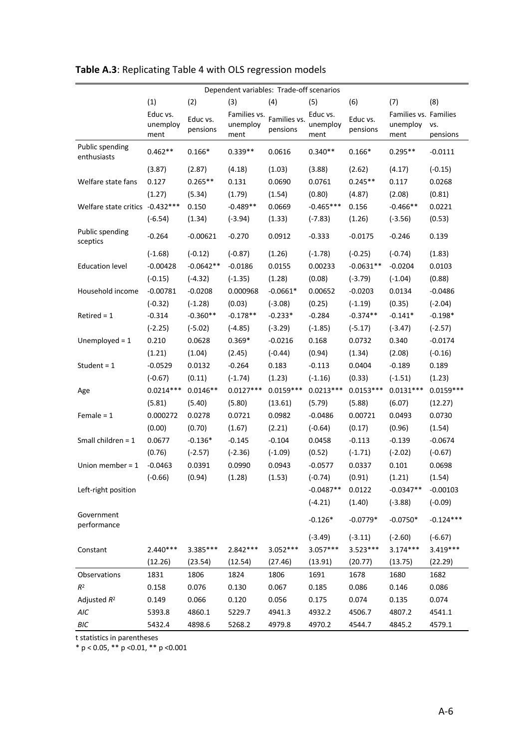| Dependent variables: Trade-off scenarios |             |             |              |              |             |             |                       |             |
|------------------------------------------|-------------|-------------|--------------|--------------|-------------|-------------|-----------------------|-------------|
|                                          | (1)         | (2)         | (3)          | (4)          | (5)         | (6)         | (7)                   | (8)         |
|                                          | Educ vs.    | Educ vs.    | Families vs. | Families vs. | Educ vs.    | Educ vs.    | Families vs. Families |             |
|                                          | unemploy    | pensions    | unemploy     | pensions     | unemploy    | pensions    | unemploy              | VS.         |
|                                          | ment        |             | ment         |              | ment        |             | ment                  | pensions    |
| Public spending<br>enthusiasts           | $0.462**$   | $0.166*$    | $0.339**$    | 0.0616       | $0.340**$   | $0.166*$    | $0.295**$             | $-0.0111$   |
|                                          | (3.87)      | (2.87)      | (4.18)       | (1.03)       | (3.88)      | (2.62)      | (4.17)                | $(-0.15)$   |
| Welfare state fans                       | 0.127       | $0.265**$   | 0.131        | 0.0690       | 0.0761      | $0.245**$   | 0.117                 | 0.0268      |
|                                          | (1.27)      | (5.34)      | (1.79)       | (1.54)       | (0.80)      | (4.87)      | (2.08)                | (0.81)      |
| Welfare state critics -0.432 ***         |             | 0.150       | $-0.489**$   | 0.0669       | $-0.465***$ | 0.156       | $-0.466**$            | 0.0221      |
|                                          | $(-6.54)$   | (1.34)      | $(-3.94)$    | (1.33)       | $(-7.83)$   | (1.26)      | $(-3.56)$             | (0.53)      |
| Public spending<br>sceptics              | $-0.264$    | $-0.00621$  | $-0.270$     | 0.0912       | $-0.333$    | $-0.0175$   | $-0.246$              | 0.139       |
|                                          | $(-1.68)$   | $(-0.12)$   | $(-0.87)$    | (1.26)       | $(-1.78)$   | $(-0.25)$   | $(-0.74)$             | (1.83)      |
| <b>Education level</b>                   | $-0.00428$  | $-0.0642**$ | $-0.0186$    | 0.0155       | 0.00233     | $-0.0631**$ | $-0.0204$             | 0.0103      |
|                                          | $(-0.15)$   | $(-4.32)$   | $(-1.35)$    | (1.28)       | (0.08)      | $(-3.79)$   | $(-1.04)$             | (0.88)      |
| Household income                         | $-0.00781$  | $-0.0208$   | 0.000968     | $-0.0661*$   | 0.00652     | $-0.0203$   | 0.0134                | $-0.0486$   |
|                                          | $(-0.32)$   | $(-1.28)$   | (0.03)       | $(-3.08)$    | (0.25)      | $(-1.19)$   | (0.35)                | $(-2.04)$   |
| $Retired = 1$                            | $-0.314$    | $-0.360**$  | $-0.178**$   | $-0.233*$    | $-0.284$    | $-0.374**$  | $-0.141*$             | $-0.198*$   |
|                                          | $(-2.25)$   | $(-5.02)$   | $(-4.85)$    | $(-3.29)$    | $(-1.85)$   | $(-5.17)$   | $(-3.47)$             | $(-2.57)$   |
| Unemployed = $1$                         | 0.210       | 0.0628      | $0.369*$     | $-0.0216$    | 0.168       | 0.0732      | 0.340                 | $-0.0174$   |
|                                          | (1.21)      | (1.04)      | (2.45)       | $(-0.44)$    | (0.94)      | (1.34)      | (2.08)                | $(-0.16)$   |
| Student = $1$                            | $-0.0529$   | 0.0132      | $-0.264$     | 0.183        | $-0.113$    | 0.0404      | $-0.189$              | 0.189       |
|                                          | $(-0.67)$   | (0.11)      | $(-1.74)$    | (1.23)       | $(-1.16)$   | (0.33)      | $(-1.51)$             | (1.23)      |
| Age                                      | $0.0214***$ | $0.0146**$  | $0.0127***$  | $0.0159***$  | $0.0213***$ | $0.0153***$ | $0.0131***$           | $0.0159***$ |
|                                          | (5.81)      | (5.40)      | (5.80)       | (13.61)      | (5.79)      | (5.88)      | (6.07)                | (12.27)     |
| Female = $1$                             | 0.000272    | 0.0278      | 0.0721       | 0.0982       | $-0.0486$   | 0.00721     | 0.0493                | 0.0730      |
|                                          | (0.00)      | (0.70)      | (1.67)       | (2.21)       | $(-0.64)$   | (0.17)      | (0.96)                | (1.54)      |
| Small children = $1$                     | 0.0677      | $-0.136*$   | $-0.145$     | $-0.104$     | 0.0458      | $-0.113$    | $-0.139$              | $-0.0674$   |
|                                          | (0.76)      | $(-2.57)$   | $(-2.36)$    | $(-1.09)$    | (0.52)      | $(-1.71)$   | $(-2.02)$             | $(-0.67)$   |
| Union member = $1$                       | $-0.0463$   | 0.0391      | 0.0990       | 0.0943       | $-0.0577$   | 0.0337      | 0.101                 | 0.0698      |
|                                          | $(-0.66)$   | (0.94)      | (1.28)       | (1.53)       | $(-0.74)$   | (0.91)      | (1.21)                | (1.54)      |
| Left-right position                      |             |             |              |              | $-0.0487**$ | 0.0122      | $-0.0347**$           | $-0.00103$  |
|                                          |             |             |              |              | $(-4.21)$   | (1.40)      | $(-3.88)$             | $(-0.09)$   |
| Government<br>performance                |             |             |              |              | $-0.126*$   | $-0.0779*$  | $-0.0750*$            | $-0.124***$ |
|                                          |             |             |              |              | $(-3.49)$   | $(-3.11)$   | $(-2.60)$             | $(-6.67)$   |
| Constant                                 | $2.440***$  | 3.385***    | 2.842 ***    | $3.052***$   | $3.057***$  | 3.523***    | $3.174***$            | 3.419***    |
|                                          | (12.26)     | (23.54)     | (12.54)      | (27.46)      | (13.91)     | (20.77)     | (13.75)               | (22.29)     |
| Observations                             | 1831        | 1806        | 1824         | 1806         | 1691        | 1678        | 1680                  | 1682        |
| $\mathbb{R}^2$                           | 0.158       | 0.076       | 0.130        | 0.067        | 0.185       | 0.086       | 0.146                 | 0.086       |
| Adjusted $R^2$                           | 0.149       | 0.066       | 0.120        | 0.056        | 0.175       | 0.074       | 0.135                 | 0.074       |
| AIC                                      | 5393.8      | 4860.1      | 5229.7       | 4941.3       | 4932.2      | 4506.7      | 4807.2                | 4541.1      |
| BIC                                      | 5432.4      | 4898.6      | 5268.2       | 4979.8       | 4970.2      | 4544.7      | 4845.2                | 4579.1      |

### **Table A.3**: Replicating Table 4 with OLS regression models

t statistics in parentheses

 $* p < 0.05$ ,  $** p < 0.01$ ,  $** p < 0.001$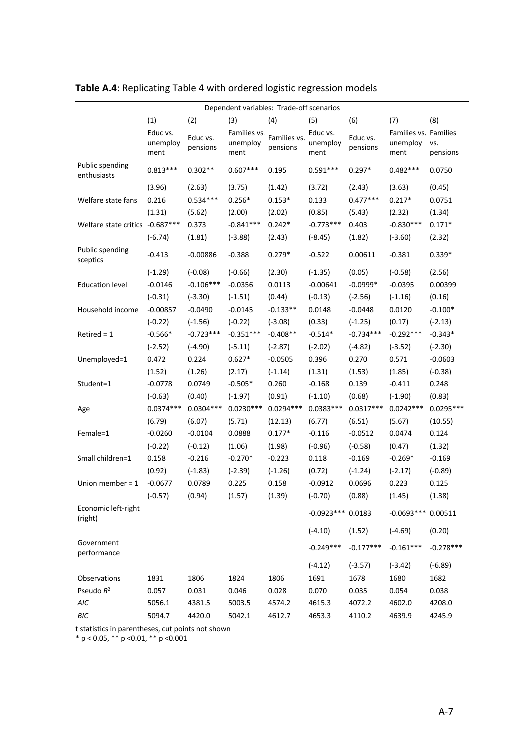| Dependent variables: Trade-off scenarios |                  |             |                  |              |                    |             |                       |             |
|------------------------------------------|------------------|-------------|------------------|--------------|--------------------|-------------|-----------------------|-------------|
|                                          | (1)              | (2)         | (3)              | (4)          | (5)                | (6)         | (7)                   | (8)         |
|                                          | Educ vs.         | Educ vs.    | Families vs.     | Families vs. | Educ vs.           | Educ vs.    | Families vs. Families |             |
|                                          | unemploy<br>ment | pensions    | unemploy<br>ment | pensions     | unemploy<br>ment   | pensions    | unemploy<br>ment      | VS.         |
|                                          |                  |             |                  |              |                    |             |                       | pensions    |
| Public spending<br>enthusiasts           | $0.813***$       | $0.302**$   | $0.607***$       | 0.195        | $0.591***$         | $0.297*$    | $0.482***$            | 0.0750      |
|                                          | (3.96)           | (2.63)      | (3.75)           | (1.42)       | (3.72)             | (2.43)      | (3.63)                | (0.45)      |
| Welfare state fans                       | 0.216            | $0.534***$  | $0.256*$         | $0.153*$     | 0.133              | $0.477***$  | $0.217*$              | 0.0751      |
|                                          | (1.31)           | (5.62)      | (2.00)           | (2.02)       | (0.85)             | (5.43)      | (2.32)                | (1.34)      |
| Welfare state critics -0.687***          |                  | 0.373       | $-0.841***$      | $0.242*$     | $-0.773***$        | 0.403       | $-0.830***$           | $0.171*$    |
|                                          | $(-6.74)$        | (1.81)      | $(-3.88)$        | (2.43)       | $(-8.45)$          | (1.82)      | $(-3.60)$             | (2.32)      |
| Public spending<br>sceptics              | $-0.413$         | $-0.00886$  | $-0.388$         | $0.279*$     | $-0.522$           | 0.00611     | $-0.381$              | $0.339*$    |
|                                          | $(-1.29)$        | $(-0.08)$   | $(-0.66)$        | (2.30)       | $(-1.35)$          | (0.05)      | $(-0.58)$             | (2.56)      |
| <b>Education level</b>                   | $-0.0146$        | $-0.106***$ | $-0.0356$        | 0.0113       | $-0.00641$         | $-0.0999*$  | $-0.0395$             | 0.00399     |
|                                          | $(-0.31)$        | $(-3.30)$   | $(-1.51)$        | (0.44)       | $(-0.13)$          | $(-2.56)$   | $(-1.16)$             | (0.16)      |
| Household income                         | $-0.00857$       | $-0.0490$   | $-0.0145$        | $-0.133**$   | 0.0148             | $-0.0448$   | 0.0120                | $-0.100*$   |
|                                          | $(-0.22)$        | $(-1.56)$   | $(-0.22)$        | $(-3.08)$    | (0.33)             | $(-1.25)$   | (0.17)                | $(-2.13)$   |
| $Retired = 1$                            | $-0.566*$        | $-0.723***$ | $-0.351***$      | $-0.408**$   | $-0.514*$          | $-0.734***$ | $-0.292***$           | $-0.343*$   |
|                                          | $(-2.52)$        | $(-4.90)$   | $(-5.11)$        | $(-2.87)$    | $(-2.02)$          | $(-4.82)$   | $(-3.52)$             | $(-2.30)$   |
| Unemployed=1                             | 0.472            | 0.224       | $0.627*$         | $-0.0505$    | 0.396              | 0.270       | 0.571                 | $-0.0603$   |
|                                          | (1.52)           | (1.26)      | (2.17)           | $(-1.14)$    | (1.31)             | (1.53)      | (1.85)                | $(-0.38)$   |
| Student=1                                | $-0.0778$        | 0.0749      | $-0.505*$        | 0.260        | $-0.168$           | 0.139       | $-0.411$              | 0.248       |
|                                          | $(-0.63)$        | (0.40)      | $(-1.97)$        | (0.91)       | $(-1.10)$          | (0.68)      | $(-1.90)$             | (0.83)      |
| Age                                      | $0.0374***$      | $0.0304***$ | $0.0230***$      | $0.0294***$  | $0.0383***$        | $0.0317***$ | $0.0242***$           | $0.0295***$ |
|                                          | (6.79)           | (6.07)      | (5.71)           | (12.13)      | (6.77)             | (6.51)      | (5.67)                | (10.55)     |
| Female=1                                 | $-0.0260$        | $-0.0104$   | 0.0888           | $0.177*$     | $-0.116$           | $-0.0512$   | 0.0474                | 0.124       |
|                                          | $(-0.22)$        | $(-0.12)$   | (1.06)           | (1.98)       | $(-0.96)$          | $(-0.58)$   | (0.47)                | (1.32)      |
| Small children=1                         | 0.158            | $-0.216$    | $-0.270*$        | $-0.223$     | 0.118              | $-0.169$    | $-0.269*$             | $-0.169$    |
|                                          | (0.92)           | $(-1.83)$   | $(-2.39)$        | $(-1.26)$    | (0.72)             | $(-1.24)$   | $(-2.17)$             | $(-0.89)$   |
| Union member = $1$                       | $-0.0677$        | 0.0789      | 0.225            | 0.158        | $-0.0912$          | 0.0696      | 0.223                 | 0.125       |
|                                          | $(-0.57)$        | (0.94)      | (1.57)           | (1.39)       | $(-0.70)$          | (0.88)      | (1.45)                | (1.38)      |
| Economic left-right<br>(right)           |                  |             |                  |              | $-0.0923***0.0183$ |             | $-0.0693***0.00511$   |             |
|                                          |                  |             |                  |              | $(-4.10)$          | (1.52)      | $(-4.69)$             | (0.20)      |
| Government<br>performance                |                  |             |                  |              | $-0.249***$        | $-0.177***$ | $-0.161***$           | $-0.278***$ |
|                                          |                  |             |                  |              | $(-4.12)$          | $(-3.57)$   | $(-3.42)$             | $(-6.89)$   |
| Observations                             | 1831             | 1806        | 1824             | 1806         | 1691               | 1678        | 1680                  | 1682        |
| Pseudo R <sup>2</sup>                    | 0.057            | 0.031       | 0.046            | 0.028        | 0.070              | 0.035       | 0.054                 | 0.038       |
| AIC                                      | 5056.1           | 4381.5      | 5003.5           | 4574.2       | 4615.3             | 4072.2      | 4602.0                | 4208.0      |
| BIC                                      | 5094.7           | 4420.0      | 5042.1           | 4612.7       | 4653.3             | 4110.2      | 4639.9                | 4245.9      |

## **Table A.4**: Replicating Table 4 with ordered logistic regression models

t statistics in parentheses, cut points not shown

\* p < 0.05, \*\* p <0.01, \*\* p <0.001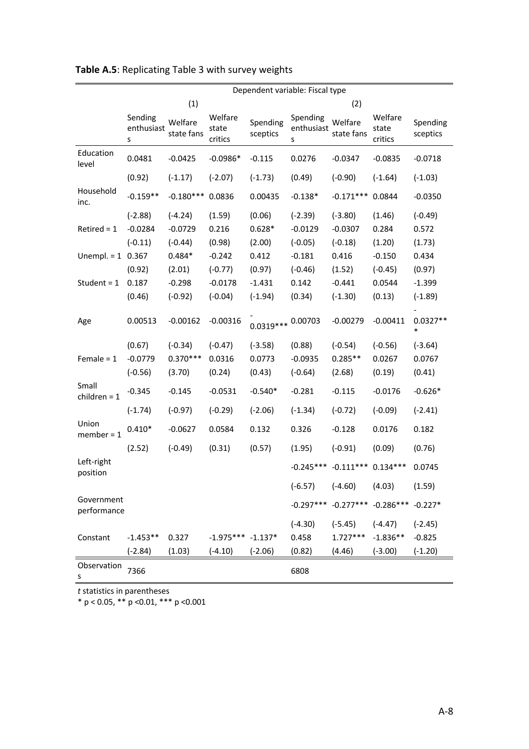|                           | Dependent variable: Fiscal type |                       |                             |                      |                             |                         |                             |                      |
|---------------------------|---------------------------------|-----------------------|-----------------------------|----------------------|-----------------------------|-------------------------|-----------------------------|----------------------|
|                           |                                 | (1)                   |                             |                      |                             | (2)                     |                             |                      |
|                           | Sending<br>enthusiast<br>s      | Welfare<br>state fans | Welfare<br>state<br>critics | Spending<br>sceptics | Spending<br>enthusiast<br>s | Welfare<br>state fans   | Welfare<br>state<br>critics | Spending<br>sceptics |
| Education<br>level        | 0.0481                          | $-0.0425$             | $-0.0986*$                  | $-0.115$             | 0.0276                      | $-0.0347$               | $-0.0835$                   | $-0.0718$            |
|                           | (0.92)                          | $(-1.17)$             | $(-2.07)$                   | $(-1.73)$            | (0.49)                      | $(-0.90)$               | $(-1.64)$                   | $(-1.03)$            |
| Household<br>inc.         | $-0.159**$                      | $-0.180***$           | 0.0836                      | 0.00435              | $-0.138*$                   | $-0.171***$             | 0.0844                      | $-0.0350$            |
|                           | $(-2.88)$                       | $(-4.24)$             | (1.59)                      | (0.06)               | $(-2.39)$                   | $(-3.80)$               | (1.46)                      | $(-0.49)$            |
| $Retired = 1$             | $-0.0284$                       | $-0.0729$             | 0.216                       | $0.628*$             | $-0.0129$                   | $-0.0307$               | 0.284                       | 0.572                |
|                           | $(-0.11)$                       | $(-0.44)$             | (0.98)                      | (2.00)               | $(-0.05)$                   | $(-0.18)$               | (1.20)                      | (1.73)               |
| Unempl. = $1$ 0.367       |                                 | $0.484*$              | $-0.242$                    | 0.412                | $-0.181$                    | 0.416                   | $-0.150$                    | 0.434                |
|                           | (0.92)                          | (2.01)                | $(-0.77)$                   | (0.97)               | $(-0.46)$                   | (1.52)                  | $(-0.45)$                   | (0.97)               |
| Student = $1$             | 0.187                           | $-0.298$              | $-0.0178$                   | $-1.431$             | 0.142                       | $-0.441$                | 0.0544                      | $-1.399$             |
|                           | (0.46)                          | $(-0.92)$             | $(-0.04)$                   | $(-1.94)$            | (0.34)                      | $(-1.30)$               | (0.13)                      | $(-1.89)$            |
| Age                       | 0.00513                         | $-0.00162$            | $-0.00316$                  | $0.0319***$          | 0.00703                     | $-0.00279$              | $-0.00411$                  | $0.0327**$<br>$\ast$ |
|                           | (0.67)                          | $(-0.34)$             | $(-0.47)$                   | $(-3.58)$            | (0.88)                      | $(-0.54)$               | $(-0.56)$                   | $(-3.64)$            |
| Female = $1$              | $-0.0779$                       | $0.370***$            | 0.0316                      | 0.0773               | $-0.0935$                   | $0.285**$               | 0.0267                      | 0.0767               |
|                           | $(-0.56)$                       | (3.70)                | (0.24)                      | (0.43)               | $(-0.64)$                   | (2.68)                  | (0.19)                      | (0.41)               |
| Small<br>children = $1$   | $-0.345$                        | $-0.145$              | $-0.0531$                   | $-0.540*$            | $-0.281$                    | $-0.115$                | $-0.0176$                   | $-0.626*$            |
|                           | $(-1.74)$                       | $(-0.97)$             | $(-0.29)$                   | $(-2.06)$            | $(-1.34)$                   | $(-0.72)$               | $(-0.09)$                   | $(-2.41)$            |
| Union<br>$member = 1$     | $0.410*$                        | $-0.0627$             | 0.0584                      | 0.132                | 0.326                       | $-0.128$                | 0.0176                      | 0.182                |
|                           | (2.52)                          | $(-0.49)$             | (0.31)                      | (0.57)               | (1.95)                      | $(-0.91)$               | (0.09)                      | (0.76)               |
| Left-right<br>position    |                                 |                       |                             |                      |                             | $-0.245***$ $-0.111***$ | $0.134***$                  | 0.0745               |
|                           |                                 |                       |                             |                      | $(-6.57)$                   | $(-4.60)$               | (4.03)                      | (1.59)               |
| Government<br>performance |                                 |                       |                             |                      | $-0.297***$                 |                         | $-0.277***$ $-0.286***$     | $-0.227*$            |
|                           |                                 |                       |                             |                      | $(-4.30)$                   | $(-5.45)$               | $(-4.47)$                   | $(-2.45)$            |
| Constant                  | $-1.453**$                      | 0.327                 | $-1.975***$ $-1.137*$       |                      | 0.458                       | $1.727***$              | $-1.836**$                  | $-0.825$             |
|                           | $(-2.84)$                       | (1.03)                | $(-4.10)$                   | $(-2.06)$            | (0.82)                      | (4.46)                  | $(-3.00)$                   | $(-1.20)$            |
| Observation<br>S          | 7366                            |                       |                             |                      | 6808                        |                         |                             |                      |

## **Table A.5**: Replicating Table 3 with survey weights

*t* statistics in parentheses

\* p < 0.05, \*\* p <0.01, \*\*\* p <0.001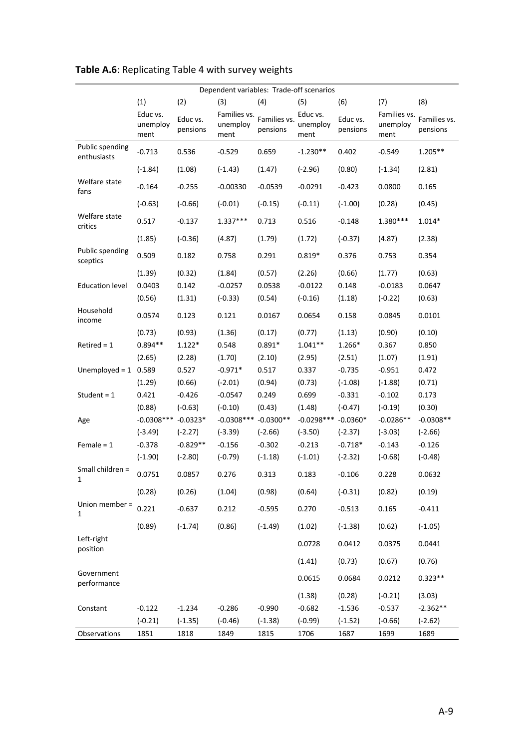| Dependent variables: Trade-off scenarios |                              |                      |                                  |                          |                              |                      |                                  |                          |
|------------------------------------------|------------------------------|----------------------|----------------------------------|--------------------------|------------------------------|----------------------|----------------------------------|--------------------------|
|                                          | (1)                          | (2)                  | (3)                              | (4)                      | (5)                          | (6)                  | (7)                              | (8)                      |
|                                          | Educ vs.<br>unemploy<br>ment | Educ vs.<br>pensions | Families vs.<br>unemploy<br>ment | Families vs.<br>pensions | Educ vs.<br>unemploy<br>ment | Educ vs.<br>pensions | Families vs.<br>unemploy<br>ment | Families vs.<br>pensions |
| Public spending<br>enthusiasts           | $-0.713$                     | 0.536                | $-0.529$                         | 0.659                    | $-1.230**$                   | 0.402                | $-0.549$                         | $1.205**$                |
|                                          | $(-1.84)$                    | (1.08)               | $(-1.43)$                        | (1.47)                   | $(-2.96)$                    | (0.80)               | $(-1.34)$                        | (2.81)                   |
| Welfare state<br>fans                    | $-0.164$                     | $-0.255$             | $-0.00330$                       | $-0.0539$                | $-0.0291$                    | $-0.423$             | 0.0800                           | 0.165                    |
|                                          | $(-0.63)$                    | $(-0.66)$            | $(-0.01)$                        | $(-0.15)$                | $(-0.11)$                    | $(-1.00)$            | (0.28)                           | (0.45)                   |
| Welfare state<br>critics                 | 0.517                        | $-0.137$             | 1.337***                         | 0.713                    | 0.516                        | $-0.148$             | 1.380***                         | $1.014*$                 |
|                                          | (1.85)                       | $(-0.36)$            | (4.87)                           | (1.79)                   | (1.72)                       | $(-0.37)$            | (4.87)                           | (2.38)                   |
| Public spending<br>sceptics              | 0.509                        | 0.182                | 0.758                            | 0.291                    | $0.819*$                     | 0.376                | 0.753                            | 0.354                    |
|                                          | (1.39)                       | (0.32)               | (1.84)                           | (0.57)                   | (2.26)                       | (0.66)               | (1.77)                           | (0.63)                   |
| <b>Education level</b>                   | 0.0403                       | 0.142                | $-0.0257$                        | 0.0538                   | $-0.0122$                    | 0.148                | $-0.0183$                        | 0.0647                   |
|                                          | (0.56)                       | (1.31)               | $(-0.33)$                        | (0.54)                   | $(-0.16)$                    | (1.18)               | $(-0.22)$                        | (0.63)                   |
| Household<br>income                      | 0.0574                       | 0.123                | 0.121                            | 0.0167                   | 0.0654                       | 0.158                | 0.0845                           | 0.0101                   |
|                                          | (0.73)                       | (0.93)               | (1.36)                           | (0.17)                   | (0.77)                       | (1.13)               | (0.90)                           | (0.10)                   |
| $Retired = 1$                            | $0.894**$                    | $1.122*$             | 0.548                            | $0.891*$                 | $1.041**$                    | 1.266*               | 0.367                            | 0.850                    |
|                                          | (2.65)                       | (2.28)               | (1.70)                           | (2.10)                   | (2.95)                       | (2.51)               | (1.07)                           | (1.91)                   |
| Unemployed = $1$ 0.589                   |                              | 0.527                | $-0.971*$                        | 0.517                    | 0.337                        | $-0.735$             | $-0.951$                         | 0.472                    |
|                                          | (1.29)                       | (0.66)               | $(-2.01)$                        | (0.94)                   | (0.73)                       | $(-1.08)$            | $(-1.88)$                        | (0.71)                   |
| Student = $1$                            | 0.421                        | $-0.426$             | $-0.0547$                        | 0.249                    | 0.699                        | $-0.331$             | $-0.102$                         | 0.173                    |
|                                          | (0.88)                       | $(-0.63)$            | $(-0.10)$                        | (0.43)                   | (1.48)                       | $(-0.47)$            | $(-0.19)$                        | (0.30)                   |
| Age                                      | $-0.0308$ ***                | $-0.0323*$           | $-0.0308$ ***                    | $-0.0300**$              | $-0.0298***$                 | $-0.0360*$           | $-0.0286**$                      | $-0.0308**$              |
|                                          | $(-3.49)$                    | $(-2.27)$            | $(-3.39)$                        | $(-2.66)$                | $(-3.50)$                    | $(-2.37)$            | $(-3.03)$                        | $(-2.66)$                |
| Female $= 1$                             | $-0.378$                     | $-0.829**$           | $-0.156$                         | $-0.302$                 | $-0.213$                     | $-0.718*$            | $-0.143$                         | $-0.126$                 |
|                                          | $(-1.90)$                    | $(-2.80)$            | $(-0.79)$                        | $(-1.18)$                | $(-1.01)$                    | $(-2.32)$            | $(-0.68)$                        | $(-0.48)$                |
| Small children =<br>1                    | 0.0751                       | 0.0857               | 0.276                            | 0.313                    | 0.183                        | $-0.106$             | 0.228                            | 0.0632                   |
|                                          | (0.28)                       | (0.26)               | (1.04)                           | (0.98)                   | (0.64)                       | $(-0.31)$            | (0.82)                           | (0.19)                   |
| Union member =<br>$\mathbf{1}$           | 0.221                        | $-0.637$             | 0.212                            | $-0.595$                 | 0.270                        | $-0.513$             | 0.165                            | $-0.411$                 |
|                                          | (0.89)                       | $(-1.74)$            | (0.86)                           | $(-1.49)$                | (1.02)                       | $(-1.38)$            | (0.62)                           | $(-1.05)$                |
| Left-right<br>position                   |                              |                      |                                  |                          | 0.0728                       | 0.0412               | 0.0375                           | 0.0441                   |
|                                          |                              |                      |                                  |                          | (1.41)                       | (0.73)               | (0.67)                           | (0.76)                   |
| Government<br>performance                |                              |                      |                                  |                          | 0.0615                       | 0.0684               | 0.0212                           | $0.323**$                |
|                                          |                              |                      |                                  |                          | (1.38)                       | (0.28)               | $(-0.21)$                        | (3.03)                   |
| Constant                                 | $-0.122$                     | $-1.234$             | $-0.286$                         | $-0.990$                 | $-0.682$                     | $-1.536$             | $-0.537$                         | $-2.362**$               |
|                                          | $(-0.21)$                    | $(-1.35)$            | $(-0.46)$                        | $(-1.38)$                | $(-0.99)$                    | $(-1.52)$            | $(-0.66)$                        | $(-2.62)$                |
| Observations                             | 1851                         | 1818                 | 1849                             | 1815                     | 1706                         | 1687                 | 1699                             | 1689                     |

# **Table A.6**: Replicating Table 4 with survey weights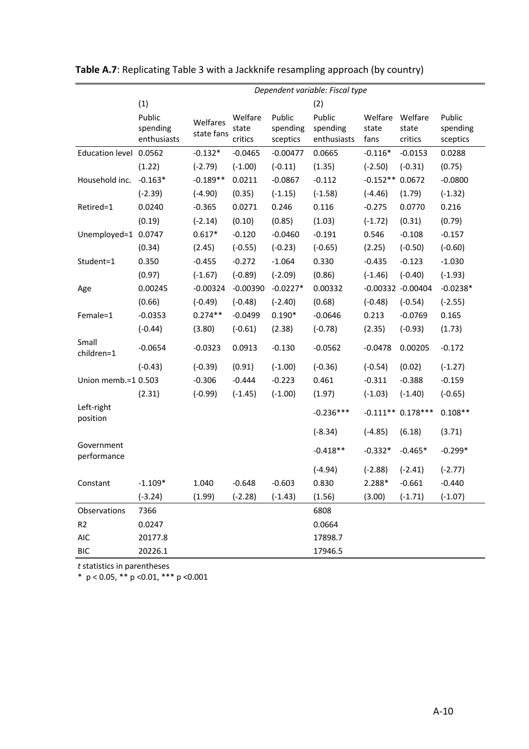|                           | Dependent variable: Fiscal type   |                        |                             |                                |                                   |                          |                             |                                |  |
|---------------------------|-----------------------------------|------------------------|-----------------------------|--------------------------------|-----------------------------------|--------------------------|-----------------------------|--------------------------------|--|
|                           | (1)                               |                        |                             |                                | (2)                               |                          |                             |                                |  |
|                           | Public<br>spending<br>enthusiasts | Welfares<br>state fans | Welfare<br>state<br>critics | Public<br>spending<br>sceptics | Public<br>spending<br>enthusiasts | Welfare<br>state<br>fans | Welfare<br>state<br>critics | Public<br>spending<br>sceptics |  |
| Education level 0.0562    |                                   | $-0.132*$              | $-0.0465$                   | $-0.00477$                     | 0.0665                            | $-0.116*$                | $-0.0153$                   | 0.0288                         |  |
|                           | (1.22)                            | $(-2.79)$              | $(-1.00)$                   | $(-0.11)$                      | (1.35)                            | $(-2.50)$                | $(-0.31)$                   | (0.75)                         |  |
| Household inc.            | $-0.163*$                         | $-0.189**$             | 0.0211                      | $-0.0867$                      | $-0.112$                          | $-0.152**0.0672$         |                             | $-0.0800$                      |  |
|                           | $(-2.39)$                         | $(-4.90)$              | (0.35)                      | $(-1.15)$                      | $(-1.58)$                         | $(-4.46)$                | (1.79)                      | $(-1.32)$                      |  |
| Retired=1                 | 0.0240                            | $-0.365$               | 0.0271                      | 0.246                          | 0.116                             | $-0.275$                 | 0.0770                      | 0.216                          |  |
|                           | (0.19)                            | $(-2.14)$              | (0.10)                      | (0.85)                         | (1.03)                            | $(-1.72)$                | (0.31)                      | (0.79)                         |  |
| Unemployed=1              | 0.0747                            | $0.617*$               | $-0.120$                    | $-0.0460$                      | $-0.191$                          | 0.546                    | $-0.108$                    | $-0.157$                       |  |
|                           | (0.34)                            | (2.45)                 | $(-0.55)$                   | $(-0.23)$                      | $(-0.65)$                         | (2.25)                   | $(-0.50)$                   | $(-0.60)$                      |  |
| Student=1                 | 0.350                             | $-0.455$               | $-0.272$                    | $-1.064$                       | 0.330                             | $-0.435$                 | $-0.123$                    | $-1.030$                       |  |
|                           | (0.97)                            | $(-1.67)$              | $(-0.89)$                   | $(-2.09)$                      | (0.86)                            | $(-1.46)$                | $(-0.40)$                   | $(-1.93)$                      |  |
| Age                       | 0.00245                           | $-0.00324$             | $-0.00390$                  | $-0.0227*$                     | 0.00332                           |                          | -0.00332 -0.00404           | $-0.0238*$                     |  |
|                           | (0.66)                            | $(-0.49)$              | $(-0.48)$                   | $(-2.40)$                      | (0.68)                            | $(-0.48)$                | $(-0.54)$                   | $(-2.55)$                      |  |
| Female=1                  | $-0.0353$                         | $0.274**$              | $-0.0499$                   | $0.190*$                       | $-0.0646$                         | 0.213                    | $-0.0769$                   | 0.165                          |  |
|                           | $(-0.44)$                         | (3.80)                 | $(-0.61)$                   | (2.38)                         | $(-0.78)$                         | (2.35)                   | $(-0.93)$                   | (1.73)                         |  |
| Small<br>children=1       | $-0.0654$                         | $-0.0323$              | 0.0913                      | $-0.130$                       | $-0.0562$                         | $-0.0478$                | 0.00205                     | $-0.172$                       |  |
|                           | $(-0.43)$                         | $(-0.39)$              | (0.91)                      | $(-1.00)$                      | $(-0.36)$                         | $(-0.54)$                | (0.02)                      | $(-1.27)$                      |  |
| Union memb.=1 0.503       |                                   | $-0.306$               | $-0.444$                    | $-0.223$                       | 0.461                             | $-0.311$                 | $-0.388$                    | $-0.159$                       |  |
|                           | (2.31)                            | $(-0.99)$              | $(-1.45)$                   | $(-1.00)$                      | (1.97)                            | $(-1.03)$                | $(-1.40)$                   | $(-0.65)$                      |  |
| Left-right<br>position    |                                   |                        |                             |                                | $-0.236***$                       |                          | $-0.111***$ 0.178***        | $0.108**$                      |  |
|                           |                                   |                        |                             |                                | $(-8.34)$                         | $(-4.85)$                | (6.18)                      | (3.71)                         |  |
| Government<br>performance |                                   |                        |                             |                                | $-0.418**$                        | $-0.332*$                | $-0.465*$                   | $-0.299*$                      |  |
|                           |                                   |                        |                             |                                | $(-4.94)$                         | $(-2.88)$                | $(-2.41)$                   | $(-2.77)$                      |  |
| Constant                  | $-1.109*$                         | 1.040                  | $-0.648$                    | $-0.603$                       | 0.830                             | 2.288*                   | $-0.661$                    | $-0.440$                       |  |
|                           | $(-3.24)$                         | (1.99)                 | $(-2.28)$                   | $(-1.43)$                      | (1.56)                            | (3.00)                   | $(-1.71)$                   | $(-1.07)$                      |  |
| Observations              | 7366                              |                        |                             |                                | 6808                              |                          |                             |                                |  |
| R <sub>2</sub>            | 0.0247                            |                        |                             |                                | 0.0664                            |                          |                             |                                |  |
| <b>AIC</b>                | 20177.8                           |                        |                             |                                | 17898.7                           |                          |                             |                                |  |
| <b>BIC</b>                | 20226.1                           |                        |                             |                                | 17946.5                           |                          |                             |                                |  |

**Table A.7**: Replicating Table 3 with a Jackknife resampling approach (by country)

*t* statistics in parentheses

\* p < 0.05, \*\* p <0.01, \*\*\* p <0.001